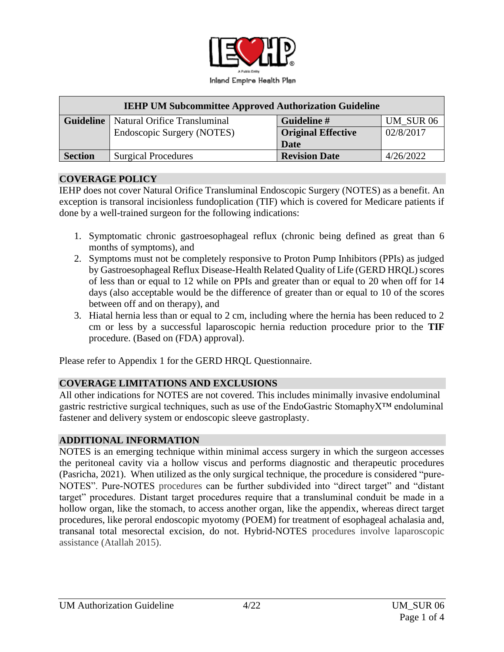

| <b>IEHP UM Subcommittee Approved Authorization Guideline</b> |                                                 |                           |           |  |  |  |  |  |
|--------------------------------------------------------------|-------------------------------------------------|---------------------------|-----------|--|--|--|--|--|
|                                                              | <b>Guideline</b>   Natural Orifice Transluminal | Guideline #               | UM SUR 06 |  |  |  |  |  |
|                                                              | Endoscopic Surgery (NOTES)                      | <b>Original Effective</b> | 02/8/2017 |  |  |  |  |  |
|                                                              |                                                 | <b>Date</b>               |           |  |  |  |  |  |
| <b>Section</b>                                               | <b>Surgical Procedures</b>                      | <b>Revision Date</b>      | 4/26/2022 |  |  |  |  |  |

#### **COVERAGE POLICY**

IEHP does not cover Natural Orifice Transluminal Endoscopic Surgery (NOTES) as a benefit. An exception is transoral incisionless fundoplication (TIF) which is covered for Medicare patients if done by a well-trained surgeon for the following indications:

- 1. Symptomatic chronic gastroesophageal reflux (chronic being defined as great than 6 months of symptoms), and
- 2. Symptoms must not be completely responsive to Proton Pump Inhibitors (PPIs) as judged by Gastroesophageal Reflux Disease-Health Related Quality of Life (GERD HRQL) scores of less than or equal to 12 while on PPIs and greater than or equal to 20 when off for 14 days (also acceptable would be the difference of greater than or equal to 10 of the scores between off and on therapy), and
- 3. Hiatal hernia less than or equal to 2 cm, including where the hernia has been reduced to 2 cm or less by a successful laparoscopic hernia reduction procedure prior to the **TIF** procedure. (Based on (FDA) approval).

Please refer to Appendix 1 for the GERD HRQL Questionnaire.

## **COVERAGE LIMITATIONS AND EXCLUSIONS**

All other indications for NOTES are not covered. This includes minimally invasive endoluminal gastric restrictive surgical techniques, such as use of the EndoGastric StomaphyX™ endoluminal fastener and delivery system or endoscopic sleeve gastroplasty.

#### **ADDITIONAL INFORMATION**

NOTES is an emerging technique within minimal access surgery in which the surgeon accesses the peritoneal cavity via a hollow viscus and performs diagnostic and therapeutic procedures (Pasricha, 2021). When utilized as the only surgical technique, the procedure is considered "pure-NOTES". Pure-NOTES procedures can be further subdivided into "direct target" and "distant target" procedures. Distant target procedures require that a transluminal conduit be made in a hollow organ, like the stomach, to access another organ, like the appendix, whereas direct target procedures, like peroral endoscopic myotomy (POEM) for treatment of esophageal achalasia and, transanal total mesorectal excision, do not. Hybrid-NOTES procedures involve laparoscopic assistance (Atallah 2015).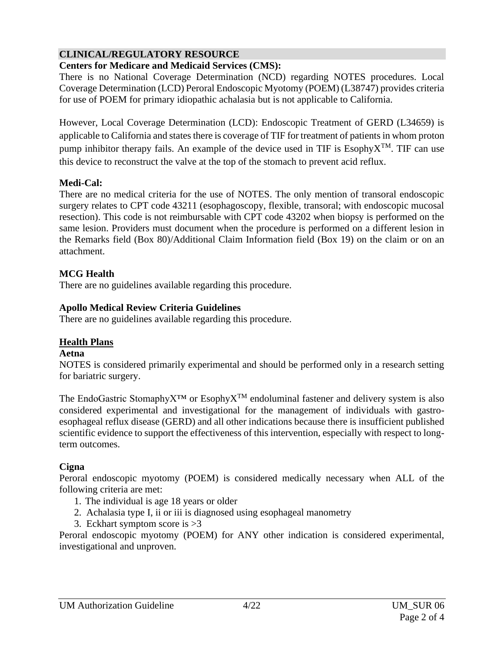# **CLINICAL/REGULATORY RESOURCE**

# **Centers for Medicare and Medicaid Services (CMS):**

There is no National Coverage Determination (NCD) regarding NOTES procedures. Local Coverage Determination (LCD) Peroral Endoscopic Myotomy (POEM) (L38747) provides criteria for use of POEM for primary idiopathic achalasia but is not applicable to California.

However, Local Coverage Determination (LCD): Endoscopic Treatment of GERD (L34659) is applicable to California and states there is coverage of TIF for treatment of patients in whom proton pump inhibitor therapy fails. An example of the device used in TIF is Esophy $X^{TM}$ . TIF can use this device to reconstruct the valve at the top of the stomach to prevent acid reflux.

## **Medi-Cal:**

There are no medical criteria for the use of NOTES. The only mention of transoral endoscopic surgery relates to CPT code 43211 (esophagoscopy, flexible, transoral; with endoscopic mucosal resection). This code is not reimbursable with CPT code 43202 when biopsy is performed on the same lesion. Providers must document when the procedure is performed on a different lesion in the Remarks field (Box 80)/Additional Claim Information field (Box 19) on the claim or on an attachment.

# **MCG Health**

There are no guidelines available regarding this procedure.

# **Apollo Medical Review Criteria Guidelines**

There are no guidelines available regarding this procedure.

# **Health Plans**

## **Aetna**

NOTES is considered primarily experimental and should be performed only in a research setting for bariatric surgery.

The EndoGastric Stomaphy $X^{TM}$  or Esophy $X^{TM}$  endoluminal fastener and delivery system is also considered experimental and investigational for the management of individuals with gastroesophageal reflux disease (GERD) and all other indications because there is insufficient published scientific evidence to support the effectiveness of this intervention, especially with respect to longterm outcomes.

# **Cigna**

Peroral endoscopic myotomy (POEM) is considered medically necessary when ALL of the following criteria are met:

- 1. The individual is age 18 years or older
- 2. Achalasia type I, ii or iii is diagnosed using esophageal manometry
- 3. Eckhart symptom score is >3

Peroral endoscopic myotomy (POEM) for ANY other indication is considered experimental, investigational and unproven.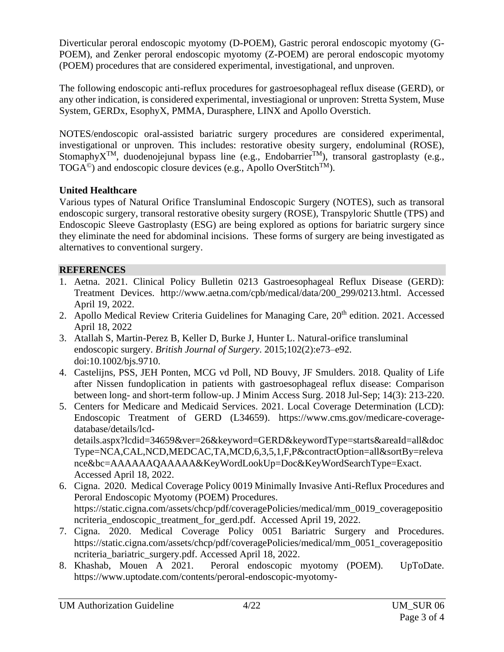Diverticular peroral endoscopic myotomy (D-POEM), Gastric peroral endoscopic myotomy (G-POEM), and Zenker peroral endoscopic myotomy (Z-POEM) are peroral endoscopic myotomy (POEM) procedures that are considered experimental, investigational, and unproven.

The following endoscopic anti-reflux procedures for gastroesophageal reflux disease (GERD), or any other indication, is considered experimental, investiagional or unproven: Stretta System, Muse System, GERDx, EsophyX, PMMA, Durasphere, LINX and Apollo Overstich.

NOTES/endoscopic oral-assisted bariatric surgery procedures are considered experimental, investigational or unproven. This includes: restorative obesity surgery, endoluminal (ROSE), Stomaphy $X^{TM}$ , duodenojejunal bypass line (e.g., Endobarrier<sup>TM</sup>), transoral gastroplasty (e.g.,  $TOGA<sup>°</sup>$ ) and endoscopic closure devices (e.g., Apollo OverStitch<sup>TM</sup>).

# **United Healthcare**

Various types of Natural Orifice Transluminal Endoscopic Surgery (NOTES), such as transoral endoscopic surgery, transoral restorative obesity surgery (ROSE), Transpyloric Shuttle (TPS) and Endoscopic Sleeve Gastroplasty (ESG) are being explored as options for bariatric surgery since they eliminate the need for abdominal incisions. These forms of surgery are being investigated as alternatives to conventional surgery.

## **REFERENCES**

- 1. Aetna. 2021. Clinical Policy Bulletin 0213 Gastroesophageal Reflux Disease (GERD): Treatment Devices. [http://www.aetna.com/cpb/medical/data/200\\_299/0213.html.](http://www.aetna.com/cpb/medical/data/200_299/0213.html) Accessed April 19, 2022.
- 2. Apollo Medical Review Criteria Guidelines for Managing Care, 20<sup>th</sup> edition. 2021. Accessed April 18, 2022
- 3. Atallah S, Martin-Perez B, Keller D, Burke J, Hunter L. Natural-orifice transluminal endoscopic surgery. *British Journal of Surgery*. 2015;102(2):e73–e92. doi:10.1002/bjs.9710.
- 4. Castelijns, PSS, JEH Ponten, MCG vd Poll, ND Bouvy, JF Smulders. 2018. Quality of Life after Nissen fundoplication in patients with gastroesophageal reflux disease: Comparison between long- and short-term follow-up. J Minim Access Surg. 2018 Jul-Sep; 14(3): 213-220.
- 5. Centers for Medicare and Medicaid Services. 2021. Local Coverage Determination (LCD): Endoscopic Treatment of GERD (L34659). [https://www.cms.gov/medicare-coverage](https://www.cms.gov/medicare-coverage-database/details/lcd-details.aspx?lcdid=34659&ver=26&keyword=GERD&keywordType=starts&areaId=all&docType=NCA,CAL,NCD,MEDCAC,TA,MCD,6,3,5,1,F,P&contractOption=all&sortBy=relevance&bc=AAAAAAQAAAAA&KeyWordLookUp=Doc&KeyWordSearchType=Exact)[database/details/lcd](https://www.cms.gov/medicare-coverage-database/details/lcd-details.aspx?lcdid=34659&ver=26&keyword=GERD&keywordType=starts&areaId=all&docType=NCA,CAL,NCD,MEDCAC,TA,MCD,6,3,5,1,F,P&contractOption=all&sortBy=relevance&bc=AAAAAAQAAAAA&KeyWordLookUp=Doc&KeyWordSearchType=Exact)[details.aspx?lcdid=34659&ver=26&keyword=GERD&keywordType=starts&areaId=all&doc](https://www.cms.gov/medicare-coverage-database/details/lcd-details.aspx?lcdid=34659&ver=26&keyword=GERD&keywordType=starts&areaId=all&docType=NCA,CAL,NCD,MEDCAC,TA,MCD,6,3,5,1,F,P&contractOption=all&sortBy=relevance&bc=AAAAAAQAAAAA&KeyWordLookUp=Doc&KeyWordSearchType=Exact) [Type=NCA,CAL,NCD,MEDCAC,TA,MCD,6,3,5,1,F,P&contractOption=all&sortBy=releva](https://www.cms.gov/medicare-coverage-database/details/lcd-details.aspx?lcdid=34659&ver=26&keyword=GERD&keywordType=starts&areaId=all&docType=NCA,CAL,NCD,MEDCAC,TA,MCD,6,3,5,1,F,P&contractOption=all&sortBy=relevance&bc=AAAAAAQAAAAA&KeyWordLookUp=Doc&KeyWordSearchType=Exact) [nce&bc=AAAAAAQAAAAA&KeyWordLookUp=Doc&KeyWordSearchType=Exact.](https://www.cms.gov/medicare-coverage-database/details/lcd-details.aspx?lcdid=34659&ver=26&keyword=GERD&keywordType=starts&areaId=all&docType=NCA,CAL,NCD,MEDCAC,TA,MCD,6,3,5,1,F,P&contractOption=all&sortBy=relevance&bc=AAAAAAQAAAAA&KeyWordLookUp=Doc&KeyWordSearchType=Exact) Accessed April 18, 2022.
- 6. Cigna. 2020. Medical Coverage Policy 0019 Minimally Invasive Anti-Reflux Procedures and Peroral Endoscopic Myotomy (POEM) Procedures. [https://static.cigna.com/assets/chcp/pdf/coveragePolicies/medical/mm\\_0019\\_coveragepositio](https://static.cigna.com/assets/chcp/pdf/coveragePolicies/medical/mm_0019_coveragepositioncriteria_endoscopic_treatment_for_gerd.pdf) [ncriteria\\_endoscopic\\_treatment\\_for\\_gerd.pdf.](https://static.cigna.com/assets/chcp/pdf/coveragePolicies/medical/mm_0019_coveragepositioncriteria_endoscopic_treatment_for_gerd.pdf) Accessed April 19, 2022.
- 7. Cigna. 2020. Medical Coverage Policy 0051 Bariatric Surgery and Procedures. [https://static.cigna.com/assets/chcp/pdf/coveragePolicies/medical/mm\\_0051\\_coveragepositio](https://static.cigna.com/assets/chcp/pdf/coveragePolicies/medical/mm_0051_coveragepositioncriteria_bariatric_surgery.pdf) [ncriteria\\_bariatric\\_surgery.pdf.](https://static.cigna.com/assets/chcp/pdf/coveragePolicies/medical/mm_0051_coveragepositioncriteria_bariatric_surgery.pdf) Accessed April 18, 2022.
- 8. Khashab, Mouen A 2021. Peroral endoscopic myotomy (POEM). UpToDate. [https://www.uptodate.com/contents/peroral-endoscopic-myotomy-](https://www.uptodate.com/contents/peroral-endoscopic-myotomy-poem?search=natural%20orifice%20transluminal%20endoscopic&source=search_result&selectedTitle=2~150&usage_type=default&display_rank=2)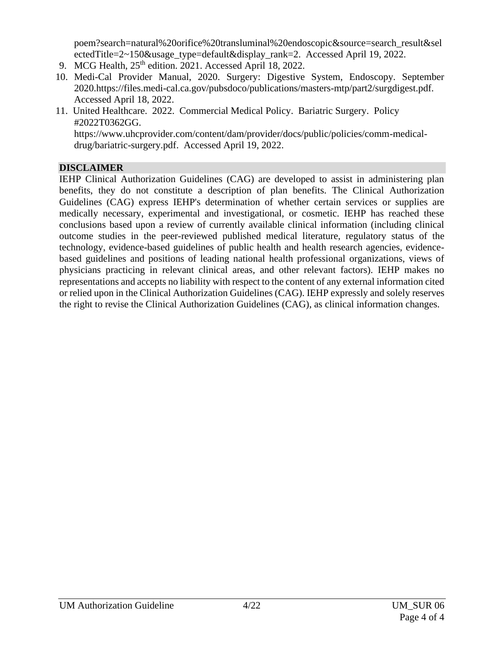[poem?search=natural%20orifice%20transluminal%20endoscopic&source=search\\_result&sel](https://www.uptodate.com/contents/peroral-endoscopic-myotomy-poem?search=natural%20orifice%20transluminal%20endoscopic&source=search_result&selectedTitle=2~150&usage_type=default&display_rank=2) [ectedTitle=2~150&usage\\_type=default&display\\_rank=2.](https://www.uptodate.com/contents/peroral-endoscopic-myotomy-poem?search=natural%20orifice%20transluminal%20endoscopic&source=search_result&selectedTitle=2~150&usage_type=default&display_rank=2) Accessed April 19, 2022.

- 9. MCG Health,  $25<sup>th</sup>$  edition. 2021. Accessed April 18, 2022.
- 10. Medi-Cal Provider Manual, 2020. Surgery: Digestive System, Endoscopy. September 2020[.https://files.medi-cal.ca.gov/pubsdoco/publications/masters-mtp/part2/surgdigest.pdf.](https://files.medi-cal.ca.gov/pubsdoco/publications/masters-mtp/part2/surgdigest.pdf) Accessed April 18, 2022.
- 11. United Healthcare. 2022. Commercial Medical Policy. Bariatric Surgery. Policy #2022T0362GG. [https://www.uhcprovider.com/content/dam/provider/docs/public/policies/comm-medical](https://www.uhcprovider.com/content/dam/provider/docs/public/policies/comm-medical-drug/bariatric-surgery.pdf)[drug/bariatric-surgery.pdf.](https://www.uhcprovider.com/content/dam/provider/docs/public/policies/comm-medical-drug/bariatric-surgery.pdf) Accessed April 19, 2022.

# **DISCLAIMER**

IEHP Clinical Authorization Guidelines (CAG) are developed to assist in administering plan benefits, they do not constitute a description of plan benefits. The Clinical Authorization Guidelines (CAG) express IEHP's determination of whether certain services or supplies are medically necessary, experimental and investigational, or cosmetic. IEHP has reached these conclusions based upon a review of currently available clinical information (including clinical outcome studies in the peer-reviewed published medical literature, regulatory status of the technology, evidence-based guidelines of public health and health research agencies, evidencebased guidelines and positions of leading national health professional organizations, views of physicians practicing in relevant clinical areas, and other relevant factors). IEHP makes no representations and accepts no liability with respect to the content of any external information cited or relied upon in the Clinical Authorization Guidelines (CAG). IEHP expressly and solely reserves the right to revise the Clinical Authorization Guidelines (CAG), as clinical information changes.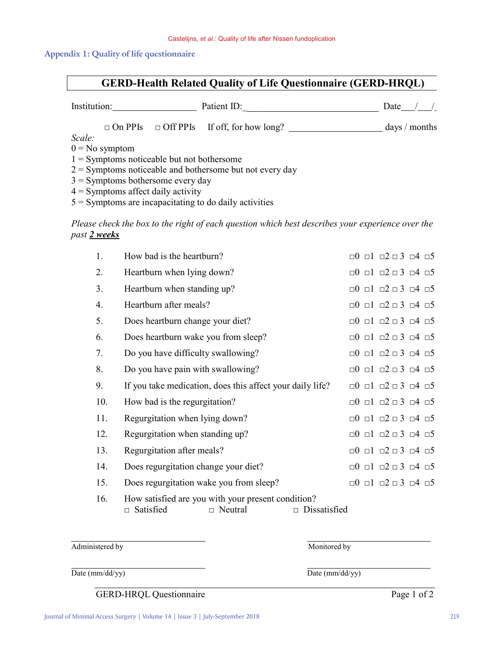#### **Appendix 1: Quality of life questionnaire**

# **GERD-Health Related Quality of Life Questionnaire (GERD-HRQL)**

| Institution:                                               | Patient ID:                                  | Date            |  |  |  |  |  |  |
|------------------------------------------------------------|----------------------------------------------|-----------------|--|--|--|--|--|--|
| $\Box$ On PPIs                                             | $\Box$ Off PPIs If off, for how long? $\Box$ | days $/$ months |  |  |  |  |  |  |
| Scale:                                                     |                                              |                 |  |  |  |  |  |  |
| $0 = No$ symptom                                           |                                              |                 |  |  |  |  |  |  |
| $1 =$ Symptoms noticeable but not bothersome               |                                              |                 |  |  |  |  |  |  |
| $2 =$ Symptoms noticeable and bothersome but not every day |                                              |                 |  |  |  |  |  |  |
| $3 =$ Symptoms bothersome every day                        |                                              |                 |  |  |  |  |  |  |
| $4 =$ Symptoms affect daily activity                       |                                              |                 |  |  |  |  |  |  |
|                                                            |                                              |                 |  |  |  |  |  |  |

 $5 =$  Symptoms are incapacitating to do daily activities

*Please check the box to the right of each question which best describes your experience over the past 2 weeks*

| 1.  | How bad is the heartburn?                                                                |                     |  | $\Box$ 0 $\Box$ 1 $\Box$ 2 $\Box$ 3 $\Box$ 4 $\Box$ 5                     |  |
|-----|------------------------------------------------------------------------------------------|---------------------|--|---------------------------------------------------------------------------|--|
| 2.  | Heartburn when lying down?                                                               |                     |  | $\Box 0 \Box 1 \Box 2 \Box 3 \Box 4 \Box 5$                               |  |
| 3.  | Heartburn when standing up?                                                              |                     |  | $\Box 0 \quad \Box 1 \quad \Box 2 \quad \Box 3 \quad \Box 4 \quad \Box 5$ |  |
| 4.  | Heartburn after meals?                                                                   |                     |  | $\Box$ 0 $\Box$ 1 $\Box$ 2 $\Box$ 3 $\Box$ 4 $\Box$ 5                     |  |
| 5.  | Does heartburn change your diet?                                                         |                     |  | $\Box 0 \quad \Box 1 \quad \Box 2 \quad \Box 3 \quad \Box 4 \quad \Box 5$ |  |
| 6.  | Does heartburn wake you from sleep?                                                      |                     |  | $\Box$ 0 $\Box$ 1 $\Box$ 2 $\Box$ 3 $\Box$ 4 $\Box$ 5                     |  |
| 7.  | Do you have difficulty swallowing?                                                       |                     |  | $\Box 0 \quad \Box 1 \quad \Box 2 \quad \Box 3 \quad \Box 4 \quad \Box 5$ |  |
| 8.  | Do you have pain with swallowing?                                                        |                     |  | $\Box 0 \quad \Box 1 \quad \Box 2 \quad \Box 3 \quad \Box 4 \quad \Box 5$ |  |
| 9.  | If you take medication, does this affect your daily life?                                |                     |  | $\Box 0 \Box 1 \Box 2 \Box 3 \Box 4 \Box 5$                               |  |
| 10. | How bad is the regurgitation?                                                            |                     |  | $\Box$ 0 $\Box$ 1 $\Box$ 2 $\Box$ 3 $\Box$ 4 $\Box$ 5                     |  |
| 11. | Regurgitation when lying down?                                                           |                     |  | $\Box$ 0 $\Box$ 1 $\Box$ 2 $\Box$ 3 $\Box$ 4 $\Box$ 5                     |  |
| 12. | Regurgitation when standing up?                                                          |                     |  | $\Box$ 0 $\Box$ 1 $\Box$ 2 $\Box$ 3 $\Box$ 4 $\Box$ 5                     |  |
| 13. | Regurgitation after meals?                                                               |                     |  | $\Box 0 \quad \Box 1 \quad \Box 2 \quad \Box 3 \quad \Box 4 \quad \Box 5$ |  |
| 14. | Does regurgitation change your diet?                                                     |                     |  | $\Box$ 0 $\Box$ 1 $\Box$ 2 $\Box$ 3 $\Box$ 4 $\Box$ 5                     |  |
| 15. | Does regurgitation wake you from sleep?                                                  |                     |  | $\Box 0 \Box 1 \Box 2 \Box 3 \Box 4 \Box 5$                               |  |
| 16. | How satisfied are you with your present condition?<br>$\Box$ Neutral<br>$\Box$ Satisfied | $\Box$ Dissatisfied |  |                                                                           |  |

Administered by Monitored by

Date (mm/dd/yy) Date (mm/dd/yy)

GERD-HRQL Questionnaire Page 1 of 2